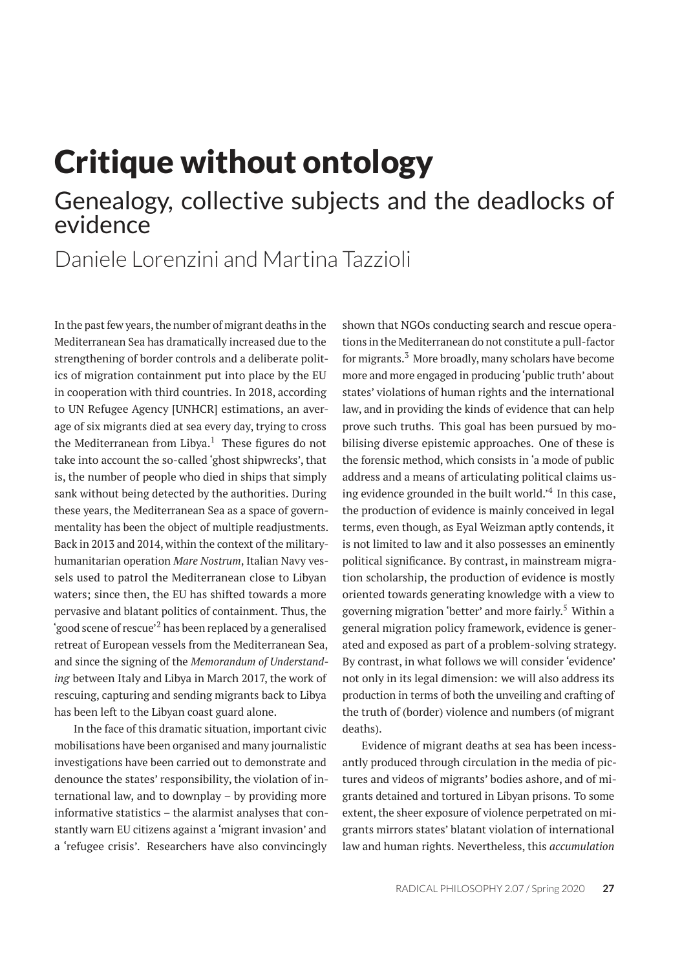## Critique without ontology Genealogy, collective subjects and the deadlocks of evidence

### Daniele Lorenzini and Martina Tazzioli

In the past few years, the number of migrant deaths in the Mediterranean Sea has dramatically increased due to the strengthening of border controls and a deliberate politics of migration containment put into place by the EU in cooperation with third countries. In 2018, according to UN Refugee Agency [UNHCR] estimations, an average of six migrants died at sea every day, trying to cross the Mediterranean from Libya. $<sup>1</sup>$  These figures do not</sup> take into account the so-called 'ghost shipwrecks', that is, the number of people who died in ships that simply sank without being detected by the authorities. During these years, the Mediterranean Sea as a space of governmentality has been the object of multiple readjustments. Back in 2013 and 2014, within the context of the militaryhumanitarian operation *Mare Nostrum*, Italian Navy vessels used to patrol the Mediterranean close to Libyan waters; since then, the EU has shifted towards a more pervasive and blatant politics of containment. Thus, the 'good scene of rescue'<sup>2</sup> has been replaced by a generalised retreat of European vessels from the Mediterranean Sea, and since the signing of the *Memorandum of Understanding* between Italy and Libya in March 2017, the work of rescuing, capturing and sending migrants back to Libya has been left to the Libyan coast guard alone.

In the face of this dramatic situation, important civic mobilisations have been organised and many journalistic investigations have been carried out to demonstrate and denounce the states' responsibility, the violation of international law, and to downplay – by providing more informative statistics – the alarmist analyses that constantly warn EU citizens against a 'migrant invasion' and a 'refugee crisis'. Researchers have also convincingly

shown that NGOs conducting search and rescue operations in the Mediterranean do not constitute a pull-factor for migrants.<sup>3</sup> More broadly, many scholars have become more and more engaged in producing 'public truth' about states' violations of human rights and the international law, and in providing the kinds of evidence that can help prove such truths. This goal has been pursued by mobilising diverse epistemic approaches. One of these is the forensic method, which consists in 'a mode of public address and a means of articulating political claims using evidence grounded in the built world.<sup>24</sup> In this case, the production of evidence is mainly conceived in legal terms, even though, as Eyal Weizman aptly contends, it is not limited to law and it also possesses an eminently political significance. By contrast, in mainstream migration scholarship, the production of evidence is mostly oriented towards generating knowledge with a view to governing migration 'better' and more fairly.<sup>5</sup> Within a general migration policy framework, evidence is generated and exposed as part of a problem-solving strategy. By contrast, in what follows we will consider 'evidence' not only in its legal dimension: we will also address its production in terms of both the unveiling and crafting of the truth of (border) violence and numbers (of migrant deaths).

Evidence of migrant deaths at sea has been incessantly produced through circulation in the media of pictures and videos of migrants' bodies ashore, and of migrants detained and tortured in Libyan prisons. To some extent, the sheer exposure of violence perpetrated on migrants mirrors states' blatant violation of international law and human rights. Nevertheless, this *accumulation*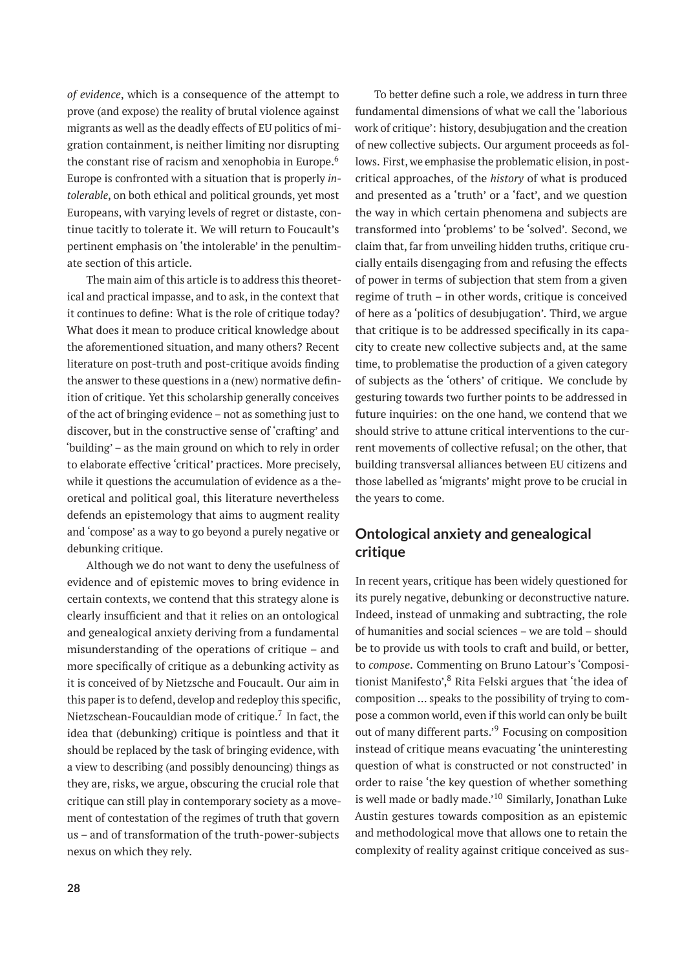*of evidence*, which is a consequence of the attempt to prove (and expose) the reality of brutal violence against migrants as well as the deadly effects of EU politics of migration containment, is neither limiting nor disrupting the constant rise of racism and xenophobia in Europe.<sup>6</sup> Europe is confronted with a situation that is properly *intolerable*, on both ethical and political grounds, yet most Europeans, with varying levels of regret or distaste, continue tacitly to tolerate it. We will return to Foucault's pertinent emphasis on 'the intolerable' in the penultimate section of this article.

The main aim of this article is to address this theoretical and practical impasse, and to ask, in the context that it continues to define: What is the role of critique today? What does it mean to produce critical knowledge about the aforementioned situation, and many others? Recent literature on post-truth and post-critique avoids finding the answer to these questions in a (new) normative definition of critique. Yet this scholarship generally conceives of the act of bringing evidence – not as something just to discover, but in the constructive sense of 'crafting' and 'building' – as the main ground on which to rely in order to elaborate effective 'critical' practices. More precisely, while it questions the accumulation of evidence as a theoretical and political goal, this literature nevertheless defends an epistemology that aims to augment reality and 'compose' as a way to go beyond a purely negative or debunking critique.

Although we do not want to deny the usefulness of evidence and of epistemic moves to bring evidence in certain contexts, we contend that this strategy alone is clearly insufficient and that it relies on an ontological and genealogical anxiety deriving from a fundamental misunderstanding of the operations of critique – and more specifically of critique as a debunking activity as it is conceived of by Nietzsche and Foucault. Our aim in this paper is to defend, develop and redeploy this specific, Nietzschean-Foucauldian mode of critique.<sup>7</sup> In fact, the idea that (debunking) critique is pointless and that it should be replaced by the task of bringing evidence, with a view to describing (and possibly denouncing) things as they are, risks, we argue, obscuring the crucial role that critique can still play in contemporary society as a movement of contestation of the regimes of truth that govern us – and of transformation of the truth-power-subjects nexus on which they rely.

fundamental dimensions of what we call the 'laborious work of critique': history, desubjugation and the creation of new collective subjects. Our argument proceeds as follows. First, we emphasise the problematic elision, in postcritical approaches, of the *history* of what is produced and presented as a 'truth' or a 'fact', and we question the way in which certain phenomena and subjects are transformed into 'problems' to be 'solved'. Second, we claim that, far from unveiling hidden truths, critique crucially entails disengaging from and refusing the effects of power in terms of subjection that stem from a given regime of truth – in other words, critique is conceived of here as a 'politics of desubjugation'. Third, we argue that critique is to be addressed specifically in its capacity to create new collective subjects and, at the same time, to problematise the production of a given category of subjects as the 'others' of critique. We conclude by gesturing towards two further points to be addressed in future inquiries: on the one hand, we contend that we should strive to attune critical interventions to the current movements of collective refusal; on the other, that building transversal alliances between EU citizens and those labelled as 'migrants' might prove to be crucial in the years to come.

To better define such a role, we address in turn three

#### **Ontological anxiety and genealogical critique**

In recent years, critique has been widely questioned for its purely negative, debunking or deconstructive nature. Indeed, instead of unmaking and subtracting, the role of humanities and social sciences – we are told – should be to provide us with tools to craft and build, or better, to *compose*. Commenting on Bruno Latour's 'Compositionist Manifesto',<sup>8</sup> Rita Felski argues that 'the idea of composition … speaks to the possibility of trying to compose a common world, even if this world can only be built out of many different parts.'<sup>9</sup> Focusing on composition instead of critique means evacuating 'the uninteresting question of what is constructed or not constructed' in order to raise 'the key question of whether something is well made or badly made.'<sup>10</sup> Similarly, Jonathan Luke Austin gestures towards composition as an epistemic and methodological move that allows one to retain the complexity of reality against critique conceived as sus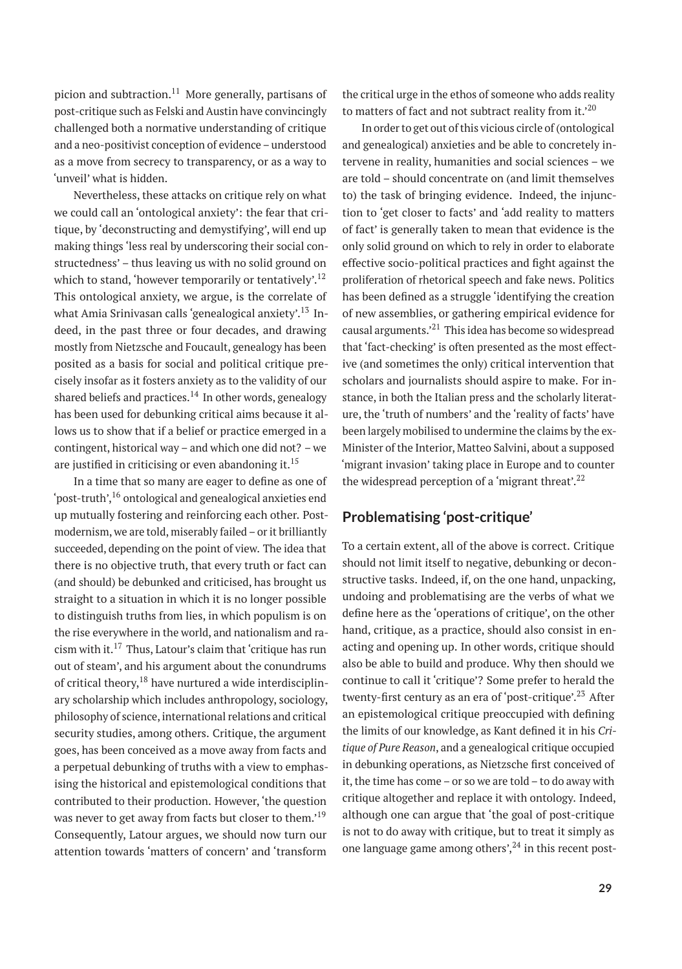picion and subtraction. $11$  More generally, partisans of post-critique such as Felski and Austin have convincingly challenged both a normative understanding of critique and a neo-positivist conception of evidence – understood as a move from secrecy to transparency, or as a way to 'unveil' what is hidden.

Nevertheless, these attacks on critique rely on what we could call an 'ontological anxiety': the fear that critique, by 'deconstructing and demystifying', will end up making things 'less real by underscoring their social constructedness' – thus leaving us with no solid ground on which to stand, 'however temporarily or tentatively'.<sup>12</sup> This ontological anxiety, we argue, is the correlate of what Amia Srinivasan calls 'genealogical anxiety'.<sup>13</sup> Indeed, in the past three or four decades, and drawing mostly from Nietzsche and Foucault, genealogy has been posited as a basis for social and political critique precisely insofar as it fosters anxiety as to the validity of our shared beliefs and practices.<sup>14</sup> In other words, genealogy has been used for debunking critical aims because it allows us to show that if a belief or practice emerged in a contingent, historical way – and which one did not? – we are justified in criticising or even abandoning it.<sup>15</sup>

In a time that so many are eager to define as one of 'post-truth',  $^{16}$  ontological and genealogical anxieties end up mutually fostering and reinforcing each other. Postmodernism, we are told, miserably failed – or it brilliantly succeeded, depending on the point of view. The idea that there is no objective truth, that every truth or fact can (and should) be debunked and criticised, has brought us straight to a situation in which it is no longer possible to distinguish truths from lies, in which populism is on the rise everywhere in the world, and nationalism and racism with it. $17$  Thus, Latour's claim that 'critique has run out of steam', and his argument about the conundrums of critical theory, $18$  have nurtured a wide interdisciplinary scholarship which includes anthropology, sociology, philosophy of science, international relations and critical security studies, among others. Critique, the argument goes, has been conceived as a move away from facts and a perpetual debunking of truths with a view to emphasising the historical and epistemological conditions that contributed to their production. However, 'the question was never to get away from facts but closer to them.'<sup>19</sup> Consequently, Latour argues, we should now turn our attention towards 'matters of concern' and 'transform

the critical urge in the ethos of someone who adds reality to matters of fact and not subtract reality from it.<sup>20</sup>

In order to get out of this vicious circle of (ontological and genealogical) anxieties and be able to concretely intervene in reality, humanities and social sciences – we are told – should concentrate on (and limit themselves to) the task of bringing evidence. Indeed, the injunction to 'get closer to facts' and 'add reality to matters of fact' is generally taken to mean that evidence is the only solid ground on which to rely in order to elaborate effective socio-political practices and fight against the proliferation of rhetorical speech and fake news. Politics has been defined as a struggle 'identifying the creation of new assemblies, or gathering empirical evidence for causal arguments.<sup>21</sup> This idea has become so widespread that 'fact-checking' is often presented as the most effective (and sometimes the only) critical intervention that scholars and journalists should aspire to make. For instance, in both the Italian press and the scholarly literature, the 'truth of numbers' and the 'reality of facts' have been largely mobilised to undermine the claims by the ex-Minister of the Interior, Matteo Salvini, about a supposed 'migrant invasion' taking place in Europe and to counter the widespread perception of a 'migrant threat'. $^{22}$ 

#### **Problematising 'post-critique'**

To a certain extent, all of the above is correct. Critique should not limit itself to negative, debunking or deconstructive tasks. Indeed, if, on the one hand, unpacking, undoing and problematising are the verbs of what we define here as the 'operations of critique', on the other hand, critique, as a practice, should also consist in enacting and opening up. In other words, critique should also be able to build and produce. Why then should we continue to call it 'critique'? Some prefer to herald the twenty-first century as an era of 'post-critique'.<sup>23</sup> After an epistemological critique preoccupied with defining the limits of our knowledge, as Kant defined it in his *Critique of Pure Reason*, and a genealogical critique occupied in debunking operations, as Nietzsche first conceived of it, the time has come – or so we are told – to do away with critique altogether and replace it with ontology. Indeed, although one can argue that 'the goal of post-critique is not to do away with critique, but to treat it simply as one language game among others',  $^{24}$  in this recent post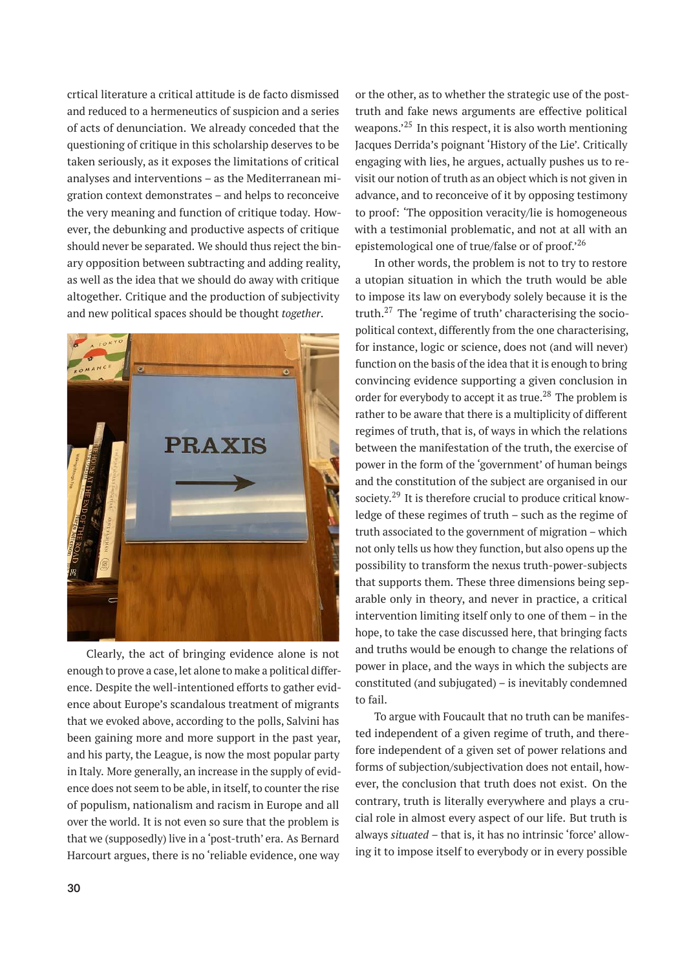crtical literature a critical attitude is de facto dismissed and reduced to a hermeneutics of suspicion and a series of acts of denunciation. We already conceded that the questioning of critique in this scholarship deserves to be taken seriously, as it exposes the limitations of critical analyses and interventions – as the Mediterranean migration context demonstrates – and helps to reconceive the very meaning and function of critique today. However, the debunking and productive aspects of critique should never be separated. We should thus reject the binary opposition between subtracting and adding reality, as well as the idea that we should do away with critique altogether. Critique and the production of subjectivity and new political spaces should be thought *together*.



Clearly, the act of bringing evidence alone is not enough to prove a case, let alone to make a political difference. Despite the well-intentioned efforts to gather evidence about Europe's scandalous treatment of migrants that we evoked above, according to the polls, Salvini has been gaining more and more support in the past year, and his party, the League, is now the most popular party in Italy. More generally, an increase in the supply of evidence does not seem to be able, in itself, to counter the rise of populism, nationalism and racism in Europe and all over the world. It is not even so sure that the problem is that we (supposedly) live in a 'post-truth' era. As Bernard Harcourt argues, there is no 'reliable evidence, one way

or the other, as to whether the strategic use of the posttruth and fake news arguments are effective political weapons.<sup>25</sup> In this respect, it is also worth mentioning Jacques Derrida's poignant 'History of the Lie'. Critically engaging with lies, he argues, actually pushes us to revisit our notion of truth as an object which is not given in advance, and to reconceive of it by opposing testimony to proof: 'The opposition veracity/lie is homogeneous with a testimonial problematic, and not at all with an epistemological one of true/false or of proof.'<sup>26</sup>

In other words, the problem is not to try to restore a utopian situation in which the truth would be able to impose its law on everybody solely because it is the truth.<sup>27</sup> The 'regime of truth' characterising the sociopolitical context, differently from the one characterising, for instance, logic or science, does not (and will never) function on the basis of the idea that it is enough to bring convincing evidence supporting a given conclusion in order for everybody to accept it as true.<sup>28</sup> The problem is rather to be aware that there is a multiplicity of different regimes of truth, that is, of ways in which the relations between the manifestation of the truth, the exercise of power in the form of the 'government' of human beings and the constitution of the subject are organised in our society.<sup>29</sup> It is therefore crucial to produce critical knowledge of these regimes of truth – such as the regime of truth associated to the government of migration – which not only tells us how they function, but also opens up the possibility to transform the nexus truth-power-subjects that supports them. These three dimensions being separable only in theory, and never in practice, a critical intervention limiting itself only to one of them – in the hope, to take the case discussed here, that bringing facts and truths would be enough to change the relations of power in place, and the ways in which the subjects are constituted (and subjugated) – is inevitably condemned to fail.

To argue with Foucault that no truth can be manifested independent of a given regime of truth, and therefore independent of a given set of power relations and forms of subjection/subjectivation does not entail, however, the conclusion that truth does not exist. On the contrary, truth is literally everywhere and plays a crucial role in almost every aspect of our life. But truth is always *situated* – that is, it has no intrinsic 'force' allowing it to impose itself to everybody or in every possible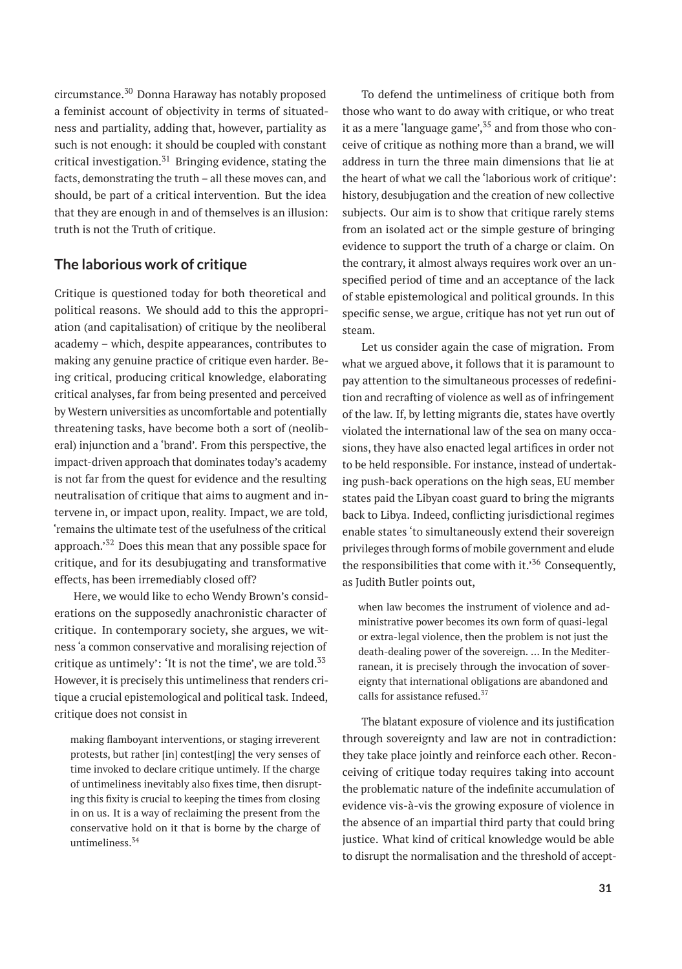circumstance.<sup>30</sup> Donna Haraway has notably proposed a feminist account of objectivity in terms of situatedness and partiality, adding that, however, partiality as such is not enough: it should be coupled with constant critical investigation. $31$  Bringing evidence, stating the facts, demonstrating the truth – all these moves can, and should, be part of a critical intervention. But the idea that they are enough in and of themselves is an illusion: truth is not the Truth of critique.

#### **The laborious work of critique**

Critique is questioned today for both theoretical and political reasons. We should add to this the appropriation (and capitalisation) of critique by the neoliberal academy – which, despite appearances, contributes to making any genuine practice of critique even harder. Being critical, producing critical knowledge, elaborating critical analyses, far from being presented and perceived by Western universities as uncomfortable and potentially threatening tasks, have become both a sort of (neoliberal) injunction and a 'brand'. From this perspective, the impact-driven approach that dominates today's academy is not far from the quest for evidence and the resulting neutralisation of critique that aims to augment and intervene in, or impact upon, reality. Impact, we are told, 'remains the ultimate test of the usefulness of the critical approach.'<sup>32</sup> Does this mean that any possible space for critique, and for its desubjugating and transformative effects, has been irremediably closed off?

Here, we would like to echo Wendy Brown's considerations on the supposedly anachronistic character of critique. In contemporary society, she argues, we witness 'a common conservative and moralising rejection of critique as untimely': 'It is not the time', we are told. $33$ However, it is precisely this untimeliness that renders critique a crucial epistemological and political task. Indeed, critique does not consist in

making flamboyant interventions, or staging irreverent protests, but rather [in] contest[ing] the very senses of time invoked to declare critique untimely. If the charge of untimeliness inevitably also fixes time, then disrupting this fixity is crucial to keeping the times from closing in on us. It is a way of reclaiming the present from the conservative hold on it that is borne by the charge of untimeliness.<sup>34</sup>

To defend the untimeliness of critique both from those who want to do away with critique, or who treat it as a mere 'language game', $35$  and from those who conceive of critique as nothing more than a brand, we will address in turn the three main dimensions that lie at the heart of what we call the 'laborious work of critique': history, desubjugation and the creation of new collective subjects. Our aim is to show that critique rarely stems from an isolated act or the simple gesture of bringing evidence to support the truth of a charge or claim. On the contrary, it almost always requires work over an unspecified period of time and an acceptance of the lack of stable epistemological and political grounds. In this specific sense, we argue, critique has not yet run out of steam.

Let us consider again the case of migration. From what we argued above, it follows that it is paramount to pay attention to the simultaneous processes of redefinition and recrafting of violence as well as of infringement of the law. If, by letting migrants die, states have overtly violated the international law of the sea on many occasions, they have also enacted legal artifices in order not to be held responsible. For instance, instead of undertaking push-back operations on the high seas, EU member states paid the Libyan coast guard to bring the migrants back to Libya. Indeed, conflicting jurisdictional regimes enable states 'to simultaneously extend their sovereign privileges through forms of mobile government and elude the responsibilities that come with it.<sup>'36</sup> Consequently, as Judith Butler points out,

when law becomes the instrument of violence and administrative power becomes its own form of quasi-legal or extra-legal violence, then the problem is not just the death-dealing power of the sovereign. … In the Mediterranean, it is precisely through the invocation of sovereignty that international obligations are abandoned and calls for assistance refused.<sup>37</sup>

The blatant exposure of violence and its justification through sovereignty and law are not in contradiction: they take place jointly and reinforce each other. Reconceiving of critique today requires taking into account the problematic nature of the indefinite accumulation of evidence vis-à-vis the growing exposure of violence in the absence of an impartial third party that could bring justice. What kind of critical knowledge would be able to disrupt the normalisation and the threshold of accept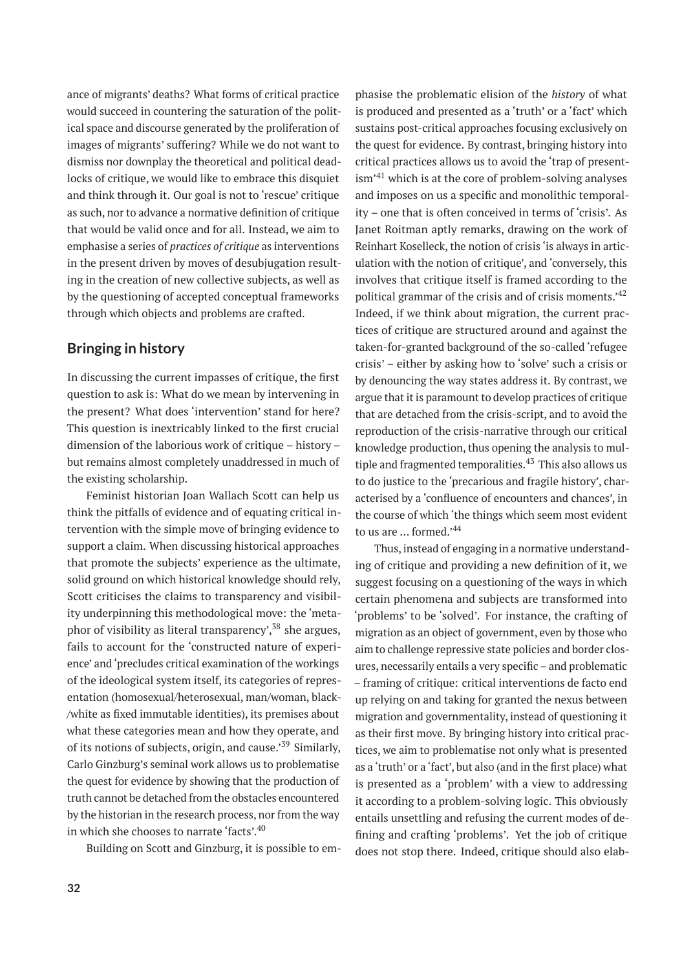ance of migrants' deaths? What forms of critical practice would succeed in countering the saturation of the political space and discourse generated by the proliferation of images of migrants' suffering? While we do not want to dismiss nor downplay the theoretical and political deadlocks of critique, we would like to embrace this disquiet and think through it. Our goal is not to 'rescue' critique as such, nor to advance a normative definition of critique that would be valid once and for all. Instead, we aim to emphasise a series of *practices of critique* as interventions in the present driven by moves of desubjugation resulting in the creation of new collective subjects, as well as by the questioning of accepted conceptual frameworks through which objects and problems are crafted.

#### **Bringing in history**

In discussing the current impasses of critique, the first question to ask is: What do we mean by intervening in the present? What does 'intervention' stand for here? This question is inextricably linked to the first crucial dimension of the laborious work of critique – history – but remains almost completely unaddressed in much of the existing scholarship.

Feminist historian Joan Wallach Scott can help us think the pitfalls of evidence and of equating critical intervention with the simple move of bringing evidence to support a claim. When discussing historical approaches that promote the subjects' experience as the ultimate, solid ground on which historical knowledge should rely, Scott criticises the claims to transparency and visibility underpinning this methodological move: the 'metaphor of visibility as literal transparency',  $38$  she argues, fails to account for the 'constructed nature of experience' and 'precludes critical examination of the workings of the ideological system itself, its categories of representation (homosexual/heterosexual, man/woman, black- /white as fixed immutable identities), its premises about what these categories mean and how they operate, and of its notions of subjects, origin, and cause.<sup>39</sup> Similarly, Carlo Ginzburg's seminal work allows us to problematise the quest for evidence by showing that the production of truth cannot be detached from the obstacles encountered by the historian in the research process, nor from the way in which she chooses to narrate 'facts'.<sup>40</sup>

Building on Scott and Ginzburg, it is possible to em-

phasise the problematic elision of the *history* of what is produced and presented as a 'truth' or a 'fact' which sustains post-critical approaches focusing exclusively on the quest for evidence. By contrast, bringing history into critical practices allows us to avoid the 'trap of presentism'<sup>41</sup> which is at the core of problem-solving analyses and imposes on us a specific and monolithic temporality – one that is often conceived in terms of 'crisis'. As Janet Roitman aptly remarks, drawing on the work of Reinhart Koselleck, the notion of crisis 'is always in articulation with the notion of critique', and 'conversely, this involves that critique itself is framed according to the political grammar of the crisis and of crisis moments.'<sup>42</sup> Indeed, if we think about migration, the current practices of critique are structured around and against the taken-for-granted background of the so-called 'refugee crisis' – either by asking how to 'solve' such a crisis or by denouncing the way states address it. By contrast, we argue that it is paramount to develop practices of critique that are detached from the crisis-script, and to avoid the reproduction of the crisis-narrative through our critical knowledge production, thus opening the analysis to multiple and fragmented temporalities. $43$  This also allows us to do justice to the 'precarious and fragile history', characterised by a 'confluence of encounters and chances', in the course of which 'the things which seem most evident to us are ... formed.'44

Thus, instead of engaging in a normative understanding of critique and providing a new definition of it, we suggest focusing on a questioning of the ways in which certain phenomena and subjects are transformed into 'problems' to be 'solved'. For instance, the crafting of migration as an object of government, even by those who aim to challenge repressive state policies and border closures, necessarily entails a very specific – and problematic – framing of critique: critical interventions de facto end up relying on and taking for granted the nexus between migration and governmentality, instead of questioning it as their first move. By bringing history into critical practices, we aim to problematise not only what is presented as a 'truth' or a 'fact', but also (and in the first place) what is presented as a 'problem' with a view to addressing it according to a problem-solving logic. This obviously entails unsettling and refusing the current modes of defining and crafting 'problems'. Yet the job of critique does not stop there. Indeed, critique should also elab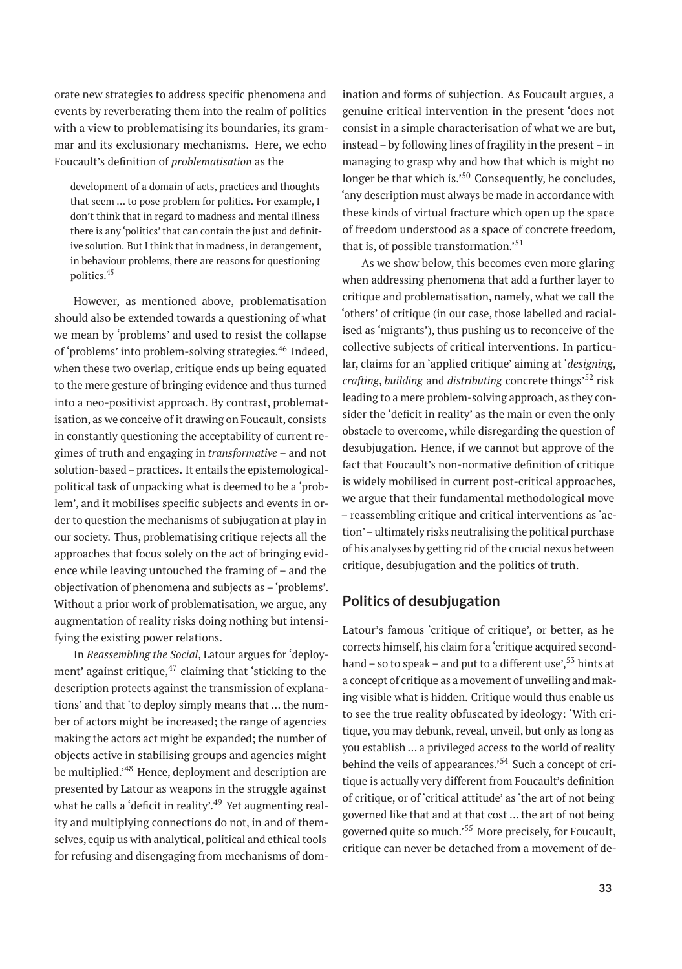orate new strategies to address specific phenomena and events by reverberating them into the realm of politics with a view to problematising its boundaries, its grammar and its exclusionary mechanisms. Here, we echo Foucault's definition of *problematisation* as the

development of a domain of acts, practices and thoughts that seem … to pose problem for politics. For example, I don't think that in regard to madness and mental illness there is any 'politics' that can contain the just and definitive solution. But I think that in madness, in derangement, in behaviour problems, there are reasons for questioning politics.<sup>45</sup>

However, as mentioned above, problematisation should also be extended towards a questioning of what we mean by 'problems' and used to resist the collapse of 'problems' into problem-solving strategies.<sup>46</sup> Indeed, when these two overlap, critique ends up being equated to the mere gesture of bringing evidence and thus turned into a neo-positivist approach. By contrast, problematisation, as we conceive of it drawing on Foucault, consists in constantly questioning the acceptability of current regimes of truth and engaging in *transformative* – and not solution-based – practices. It entails the epistemologicalpolitical task of unpacking what is deemed to be a 'problem', and it mobilises specific subjects and events in order to question the mechanisms of subjugation at play in our society. Thus, problematising critique rejects all the approaches that focus solely on the act of bringing evidence while leaving untouched the framing of – and the objectivation of phenomena and subjects as – 'problems'. Without a prior work of problematisation, we argue, any augmentation of reality risks doing nothing but intensifying the existing power relations.

In *Reassembling the Social*, Latour argues for 'deployment' against critique, $47$  claiming that 'sticking to the description protects against the transmission of explanations' and that 'to deploy simply means that … the number of actors might be increased; the range of agencies making the actors act might be expanded; the number of objects active in stabilising groups and agencies might be multiplied.<sup>48</sup> Hence, deployment and description are presented by Latour as weapons in the struggle against what he calls a 'deficit in reality'.<sup>49</sup> Yet augmenting reality and multiplying connections do not, in and of themselves, equip us with analytical, political and ethical tools for refusing and disengaging from mechanisms of dom-

ination and forms of subjection. As Foucault argues, a genuine critical intervention in the present 'does not consist in a simple characterisation of what we are but, instead – by following lines of fragility in the present – in managing to grasp why and how that which is might no longer be that which is.<sup>50</sup> Consequently, he concludes, 'any description must always be made in accordance with these kinds of virtual fracture which open up the space of freedom understood as a space of concrete freedom, that is, of possible transformation.'<sup>51</sup>

As we show below, this becomes even more glaring when addressing phenomena that add a further layer to critique and problematisation, namely, what we call the 'others' of critique (in our case, those labelled and racialised as 'migrants'), thus pushing us to reconceive of the collective subjects of critical interventions. In particular, claims for an 'applied critique' aiming at '*designing*, *crafting*, *building* and *distributing* concrete things'<sup>52</sup> risk leading to a mere problem-solving approach, as they consider the 'deficit in reality' as the main or even the only obstacle to overcome, while disregarding the question of desubjugation. Hence, if we cannot but approve of the fact that Foucault's non-normative definition of critique is widely mobilised in current post-critical approaches, we argue that their fundamental methodological move – reassembling critique and critical interventions as 'action'– ultimately risks neutralising the political purchase of his analyses by getting rid of the crucial nexus between critique, desubjugation and the politics of truth.

#### **Politics of desubjugation**

Latour's famous 'critique of critique', or better, as he corrects himself, his claim for a 'critique acquired secondhand – so to speak – and put to a different use',  $53$  hints at a concept of critique as a movement of unveiling and making visible what is hidden. Critique would thus enable us to see the true reality obfuscated by ideology: 'With critique, you may debunk, reveal, unveil, but only as long as you establish … a privileged access to the world of reality behind the veils of appearances.'<sup>54</sup> Such a concept of critique is actually very different from Foucault's definition of critique, or of 'critical attitude' as 'the art of not being governed like that and at that cost … the art of not being governed quite so much.'<sup>55</sup> More precisely, for Foucault, critique can never be detached from a movement of de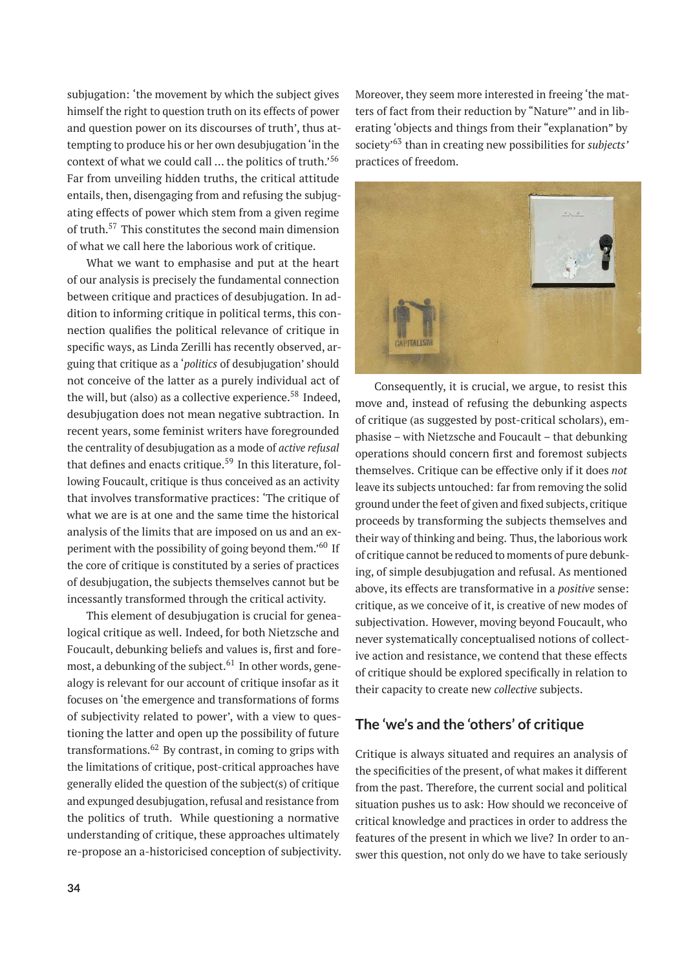subjugation: 'the movement by which the subject gives himself the right to question truth on its effects of power and question power on its discourses of truth', thus attempting to produce his or her own desubjugation 'in the context of what we could call … the politics of truth.'<sup>56</sup> Far from unveiling hidden truths, the critical attitude entails, then, disengaging from and refusing the subjugating effects of power which stem from a given regime of truth.<sup>57</sup> This constitutes the second main dimension of what we call here the laborious work of critique.

What we want to emphasise and put at the heart of our analysis is precisely the fundamental connection between critique and practices of desubjugation. In addition to informing critique in political terms, this connection qualifies the political relevance of critique in specific ways, as Linda Zerilli has recently observed, arguing that critique as a '*politics* of desubjugation' should not conceive of the latter as a purely individual act of the will, but (also) as a collective experience.<sup>58</sup> Indeed, desubjugation does not mean negative subtraction. In recent years, some feminist writers have foregrounded the centrality of desubjugation as a mode of *active refusal* that defines and enacts critique.<sup>59</sup> In this literature, following Foucault, critique is thus conceived as an activity that involves transformative practices: 'The critique of what we are is at one and the same time the historical analysis of the limits that are imposed on us and an experiment with the possibility of going beyond them.'<sup>60</sup> If the core of critique is constituted by a series of practices of desubjugation, the subjects themselves cannot but be incessantly transformed through the critical activity.

This element of desubjugation is crucial for genealogical critique as well. Indeed, for both Nietzsche and Foucault, debunking beliefs and values is, first and foremost, a debunking of the subject. $61$  In other words, genealogy is relevant for our account of critique insofar as it focuses on 'the emergence and transformations of forms of subjectivity related to power', with a view to questioning the latter and open up the possibility of future transformations. $^{62}$  By contrast, in coming to grips with the limitations of critique, post-critical approaches have generally elided the question of the subject(s) of critique and expunged desubjugation, refusal and resistance from the politics of truth. While questioning a normative understanding of critique, these approaches ultimately re-propose an a-historicised conception of subjectivity. Moreover, they seem more interested in freeing 'the matters of fact from their reduction by "Nature"' and in liberating 'objects and things from their "explanation" by society'<sup>63</sup> than in creating new possibilities for *subjects'* practices of freedom.



Consequently, it is crucial, we argue, to resist this move and, instead of refusing the debunking aspects of critique (as suggested by post-critical scholars), emphasise – with Nietzsche and Foucault – that debunking operations should concern first and foremost subjects themselves. Critique can be effective only if it does *not* leave its subjects untouched: far from removing the solid ground under the feet of given and fixed subjects, critique proceeds by transforming the subjects themselves and their way of thinking and being. Thus, the laborious work of critique cannot be reduced to moments of pure debunking, of simple desubjugation and refusal. As mentioned above, its effects are transformative in a *positive* sense: critique, as we conceive of it, is creative of new modes of subjectivation. However, moving beyond Foucault, who never systematically conceptualised notions of collective action and resistance, we contend that these effects of critique should be explored specifically in relation to their capacity to create new *collective* subjects.

#### **The 'we's and the 'others' of critique**

Critique is always situated and requires an analysis of the specificities of the present, of what makes it different from the past. Therefore, the current social and political situation pushes us to ask: How should we reconceive of critical knowledge and practices in order to address the features of the present in which we live? In order to answer this question, not only do we have to take seriously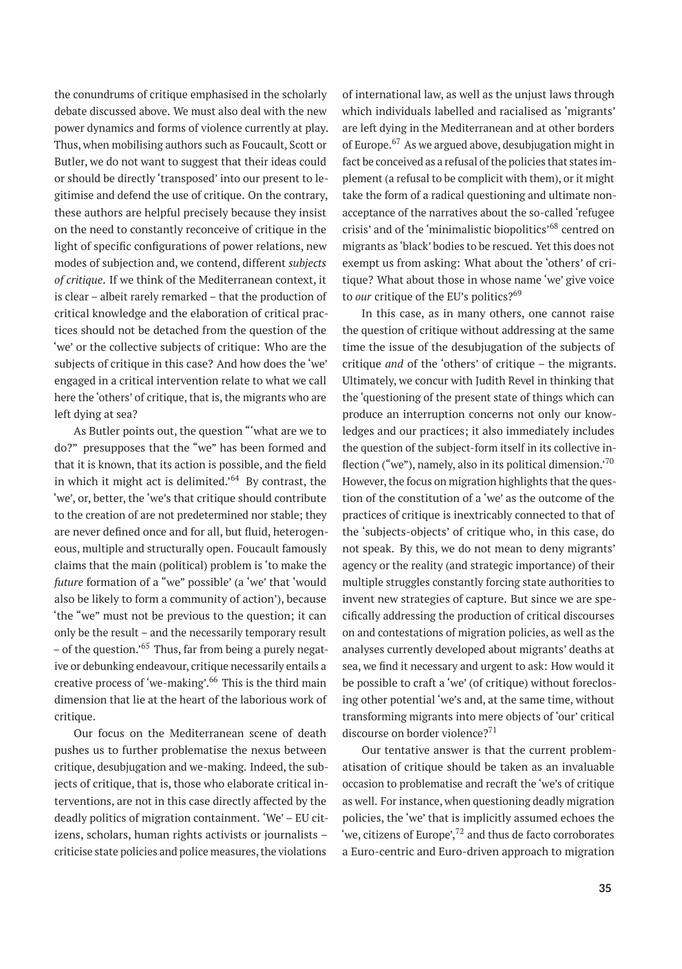the conundrums of critique emphasised in the scholarly debate discussed above. We must also deal with the new power dynamics and forms of violence currently at play. Thus, when mobilising authors such as Foucault, Scott or Butler, we do not want to suggest that their ideas could or should be directly 'transposed' into our present to legitimise and defend the use of critique. On the contrary, these authors are helpful precisely because they insist on the need to constantly reconceive of critique in the light of specific configurations of power relations, new modes of subjection and, we contend, different *subjects of critique*. If we think of the Mediterranean context, it is clear – albeit rarely remarked – that the production of critical knowledge and the elaboration of critical practices should not be detached from the question of the 'we' or the collective subjects of critique: Who are the subjects of critique in this case? And how does the 'we' engaged in a critical intervention relate to what we call here the 'others' of critique, that is, the migrants who are left dying at sea?

As Butler points out, the question "'what are we to do?" presupposes that the "we" has been formed and that it is known, that its action is possible, and the field in which it might act is delimited.<sup> $64$ </sup> By contrast, the 'we', or, better, the 'we's that critique should contribute to the creation of are not predetermined nor stable; they are never defined once and for all, but fluid, heterogeneous, multiple and structurally open. Foucault famously claims that the main (political) problem is 'to make the *future* formation of a "we" possible' (a 'we' that 'would also be likely to form a community of action'), because 'the "we" must not be previous to the question; it can only be the result – and the necessarily temporary result – of the question.'<sup>65</sup> Thus, far from being a purely negative or debunking endeavour, critique necessarily entails a creative process of 'we-making'.<sup>66</sup> This is the third main dimension that lie at the heart of the laborious work of critique.

Our focus on the Mediterranean scene of death pushes us to further problematise the nexus between critique, desubjugation and we-making. Indeed, the subjects of critique, that is, those who elaborate critical interventions, are not in this case directly affected by the deadly politics of migration containment. 'We' – EU citizens, scholars, human rights activists or journalists – criticise state policies and police measures, the violations

of international law, as well as the unjust laws through which individuals labelled and racialised as 'migrants' are left dying in the Mediterranean and at other borders of Europe.<sup>67</sup> As we argued above, desubjugation might in fact be conceived as a refusal of the policies that states implement (a refusal to be complicit with them), or it might take the form of a radical questioning and ultimate nonacceptance of the narratives about the so-called 'refugee crisis' and of the 'minimalistic biopolitics'<sup>68</sup> centred on migrants as 'black' bodies to be rescued. Yet this does not exempt us from asking: What about the 'others' of critique? What about those in whose name 'we' give voice to *our* critique of the EU's politics?<sup>69</sup>

In this case, as in many others, one cannot raise the question of critique without addressing at the same time the issue of the desubjugation of the subjects of critique *and* of the 'others' of critique – the migrants. Ultimately, we concur with Judith Revel in thinking that the 'questioning of the present state of things which can produce an interruption concerns not only our knowledges and our practices; it also immediately includes the question of the subject-form itself in its collective inflection ("we"), namely, also in its political dimension.<sup>70</sup> However, the focus on migration highlights that the question of the constitution of a 'we' as the outcome of the practices of critique is inextricably connected to that of the 'subjects-objects' of critique who, in this case, do not speak. By this, we do not mean to deny migrants' agency or the reality (and strategic importance) of their multiple struggles constantly forcing state authorities to invent new strategies of capture. But since we are specifically addressing the production of critical discourses on and contestations of migration policies, as well as the analyses currently developed about migrants' deaths at sea, we find it necessary and urgent to ask: How would it be possible to craft a 'we' (of critique) without foreclosing other potential 'we's and, at the same time, without transforming migrants into mere objects of 'our' critical discourse on border violence?<sup>71</sup>

Our tentative answer is that the current problematisation of critique should be taken as an invaluable occasion to problematise and recraft the 'we's of critique as well. For instance, when questioning deadly migration policies, the 'we' that is implicitly assumed echoes the 'we, citizens of Europe', $72$  and thus de facto corroborates a Euro-centric and Euro-driven approach to migration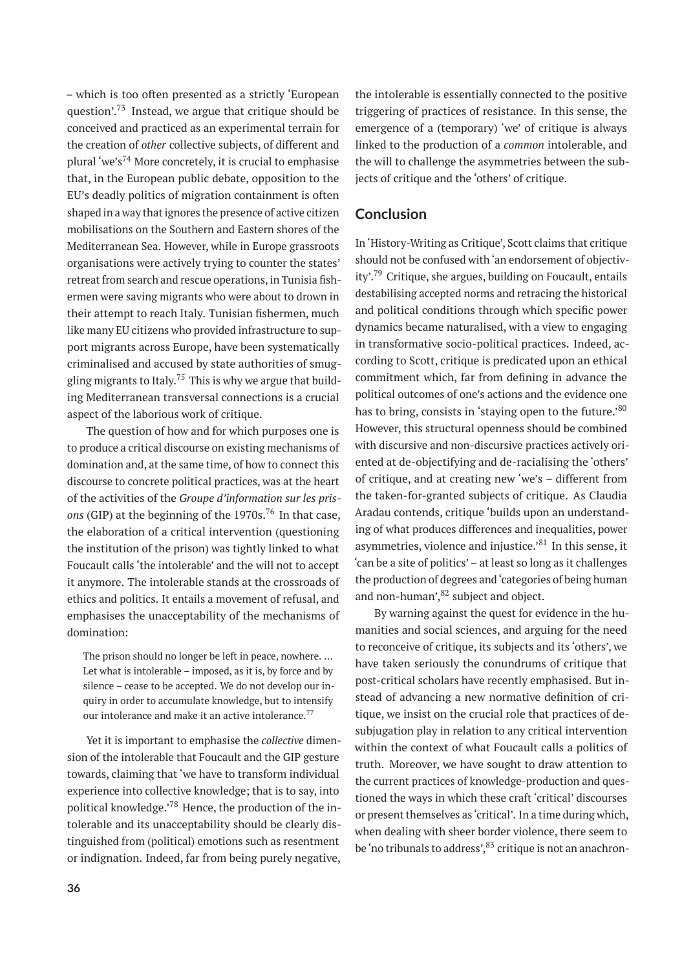– which is too often presented as a strictly 'European question'.<sup>73</sup> Instead, we argue that critique should be conceived and practiced as an experimental terrain for the creation of *other* collective subjects, of different and plural 'we's<sup>74</sup> More concretely, it is crucial to emphasise that, in the European public debate, opposition to the EU's deadly politics of migration containment is often shaped in a way that ignores the presence of active citizen mobilisations on the Southern and Eastern shores of the Mediterranean Sea. However, while in Europe grassroots organisations were actively trying to counter the states' retreat from search and rescue operations, in Tunisia fishermen were saving migrants who were about to drown in their attempt to reach Italy. Tunisian fishermen, much like many EU citizens who provided infrastructure to support migrants across Europe, have been systematically criminalised and accused by state authorities of smuggling migrants to Italy.<sup>75</sup> This is why we argue that building Mediterranean transversal connections is a crucial aspect of the laborious work of critique.

The question of how and for which purposes one is to produce a critical discourse on existing mechanisms of domination and, at the same time, of how to connect this discourse to concrete political practices, was at the heart of the activities of the *Groupe d'information sur les prisons* (GIP) at the beginning of the 1970s.<sup>76</sup> In that case, the elaboration of a critical intervention (questioning the institution of the prison) was tightly linked to what Foucault calls 'the intolerable' and the will not to accept it anymore. The intolerable stands at the crossroads of ethics and politics. It entails a movement of refusal, and emphasises the unacceptability of the mechanisms of domination:

The prison should no longer be left in peace, nowhere. … Let what is intolerable – imposed, as it is, by force and by silence – cease to be accepted. We do not develop our inquiry in order to accumulate knowledge, but to intensify our intolerance and make it an active intolerance.<sup>77</sup>

Yet it is important to emphasise the *collective* dimension of the intolerable that Foucault and the GIP gesture towards, claiming that 'we have to transform individual experience into collective knowledge; that is to say, into political knowledge.'<sup>78</sup> Hence, the production of the intolerable and its unacceptability should be clearly distinguished from (political) emotions such as resentment or indignation. Indeed, far from being purely negative,

the intolerable is essentially connected to the positive triggering of practices of resistance. In this sense, the emergence of a (temporary) 'we' of critique is always linked to the production of a *common* intolerable, and the will to challenge the asymmetries between the subjects of critique and the 'others' of critique.

#### **Conclusion**

In 'History-Writing as Critique', Scott claims that critique should not be confused with 'an endorsement of objectivity'.<sup>79</sup> Critique, she argues, building on Foucault, entails destabilising accepted norms and retracing the historical and political conditions through which specific power dynamics became naturalised, with a view to engaging in transformative socio-political practices. Indeed, according to Scott, critique is predicated upon an ethical commitment which, far from defining in advance the political outcomes of one's actions and the evidence one has to bring, consists in 'staying open to the future.'<sup>80</sup> However, this structural openness should be combined with discursive and non-discursive practices actively oriented at de-objectifying and de-racialising the 'others' of critique, and at creating new 'we's – different from the taken-for-granted subjects of critique. As Claudia Aradau contends, critique 'builds upon an understanding of what produces differences and inequalities, power asymmetries, violence and injustice.'<sup>81</sup> In this sense, it 'can be a site of politics' – at least so long as it challenges the production of degrees and'categories of being human and non-human', $82$  subject and object.

By warning against the quest for evidence in the humanities and social sciences, and arguing for the need to reconceive of critique, its subjects and its 'others', we have taken seriously the conundrums of critique that post-critical scholars have recently emphasised. But instead of advancing a new normative definition of critique, we insist on the crucial role that practices of desubjugation play in relation to any critical intervention within the context of what Foucault calls a politics of truth. Moreover, we have sought to draw attention to the current practices of knowledge-production and questioned the ways in which these craft 'critical' discourses or present themselves as 'critical'. In a time during which, when dealing with sheer border violence, there seem to be 'no tribunals to address', <sup>83</sup> critique is not an anachron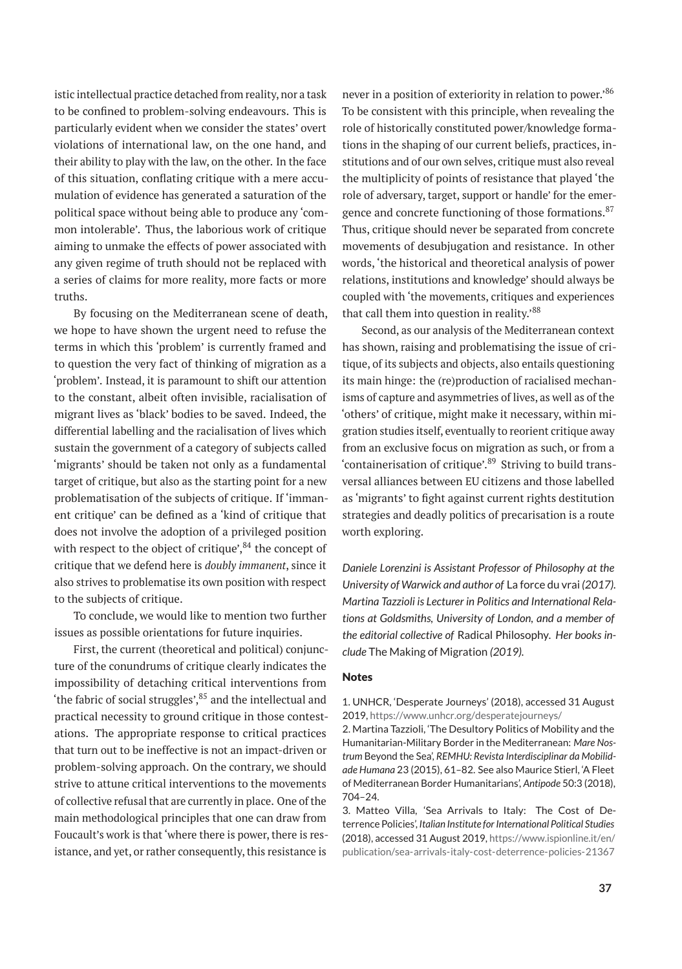istic intellectual practice detached from reality, nor a task to be confined to problem-solving endeavours. This is particularly evident when we consider the states' overt violations of international law, on the one hand, and their ability to play with the law, on the other. In the face of this situation, conflating critique with a mere accumulation of evidence has generated a saturation of the political space without being able to produce any 'common intolerable'. Thus, the laborious work of critique aiming to unmake the effects of power associated with any given regime of truth should not be replaced with a series of claims for more reality, more facts or more truths.

By focusing on the Mediterranean scene of death, we hope to have shown the urgent need to refuse the terms in which this 'problem' is currently framed and to question the very fact of thinking of migration as a 'problem'. Instead, it is paramount to shift our attention to the constant, albeit often invisible, racialisation of migrant lives as 'black' bodies to be saved. Indeed, the differential labelling and the racialisation of lives which sustain the government of a category of subjects called 'migrants' should be taken not only as a fundamental target of critique, but also as the starting point for a new problematisation of the subjects of critique. If 'immanent critique' can be defined as a 'kind of critique that does not involve the adoption of a privileged position with respect to the object of critique', $84$  the concept of critique that we defend here is *doubly immanent*, since it also strives to problematise its own position with respect to the subjects of critique.

To conclude, we would like to mention two further issues as possible orientations for future inquiries.

First, the current (theoretical and political) conjuncture of the conundrums of critique clearly indicates the impossibility of detaching critical interventions from 'the fabric of social struggles', $85$  and the intellectual and practical necessity to ground critique in those contestations. The appropriate response to critical practices that turn out to be ineffective is not an impact-driven or problem-solving approach. On the contrary, we should strive to attune critical interventions to the movements of collective refusal that are currently in place. One of the main methodological principles that one can draw from Foucault's work is that 'where there is power, there is resistance, and yet, or rather consequently, this resistance is

never in a position of exteriority in relation to power.'<sup>86</sup> To be consistent with this principle, when revealing the role of historically constituted power/knowledge formations in the shaping of our current beliefs, practices, institutions and of our own selves, critique must also reveal the multiplicity of points of resistance that played 'the role of adversary, target, support or handle' for the emergence and concrete functioning of those formations.<sup>87</sup> Thus, critique should never be separated from concrete movements of desubjugation and resistance. In other words, 'the historical and theoretical analysis of power relations, institutions and knowledge' should always be coupled with 'the movements, critiques and experiences that call them into question in reality.'<sup>88</sup>

Second, as our analysis of the Mediterranean context has shown, raising and problematising the issue of critique, of its subjects and objects, also entails questioning its main hinge: the (re)production of racialised mechanisms of capture and asymmetries of lives, as well as of the 'others' of critique, might make it necessary, within migration studies itself, eventually to reorient critique away from an exclusive focus on migration as such, or from a 'containerisation of critique'.<sup>89</sup> Striving to build transversal alliances between EU citizens and those labelled as 'migrants' to fight against current rights destitution strategies and deadly politics of precarisation is a route worth exploring.

*Daniele Lorenzini is Assistant Professor of Philosophy at the University of Warwick and author of* La force du vrai *(2017). Martina Tazzioli is Lecturer in Politics and International Relations at Goldsmiths, University of London, and a member of the editorial collective of* Radical Philosophy*. Her books include* The Making of Migration *(2019).*

#### Notes

1. UNHCR, 'Desperate Journeys' (2018), accessed 31 August 2019, <https://www.unhcr.org/desperatejourneys/>

2. Martina Tazzioli, 'The Desultory Politics of Mobility and the Humanitarian-Military Border in the Mediterranean: *Mare Nostrum* Beyond the Sea', *REMHU: Revista Interdisciplinar da Mobilidade Humana* 23 (2015), 61–82. See also Maurice Stierl, 'A Fleet of Mediterranean Border Humanitarians', *Antipode* 50:3 (2018), 704–24.

3. Matteo Villa, 'Sea Arrivals to Italy: The Cost of Deterrence Policies', *Italian Institute for International Political Studies* (2018), accessed 31 August 2019, [https://www.ispionline.it/en/](https://www.ispionline.it/en/publication/sea-arrivals-italy-cost-deterrence-policies-21367) [publication/sea-arrivals-italy-cost-deterrence-policies-21367](https://www.ispionline.it/en/publication/sea-arrivals-italy-cost-deterrence-policies-21367)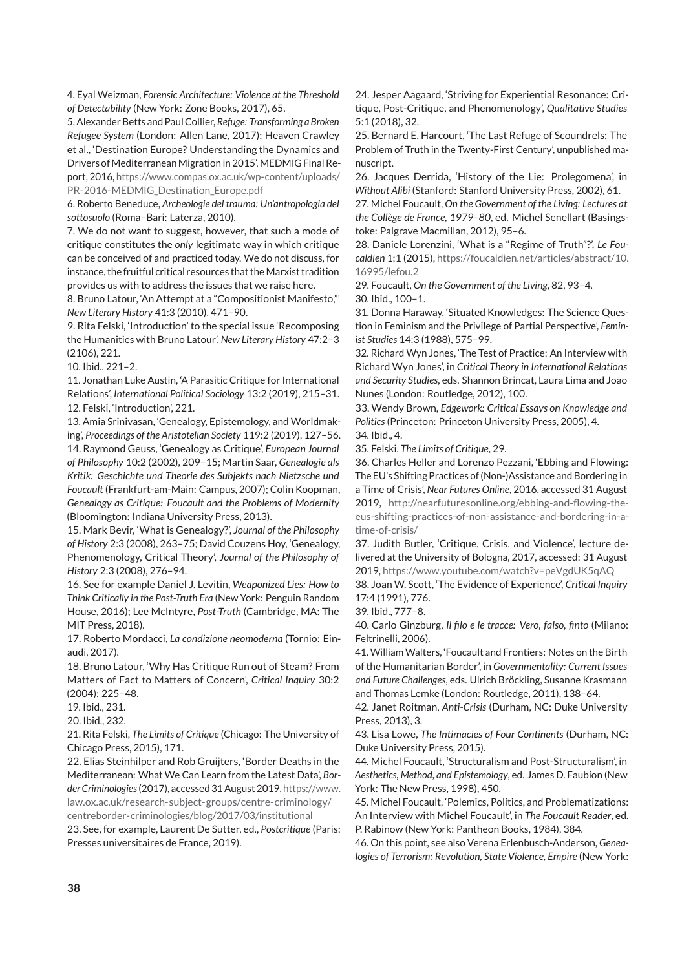4. Eyal Weizman, *Forensic Architecture: Violence at the Threshold of Detectability* (New York: Zone Books, 2017), 65.

5. Alexander Betts and Paul Collier, *Refuge: Transforming a Broken Refugee System* (London: Allen Lane, 2017); Heaven Crawley et al., 'Destination Europe? Understanding the Dynamics and Drivers of Mediterranean Migration in 2015', MEDMIG Final Report, 2016, [https://www.compas.ox.ac.uk/wp-content/uploads/](https://www.compas.ox.ac.uk/wp-content/uploads/PR-2016-MEDMIG_Destination_Europe.pdf) [PR-2016-MEDMIG\\_Destination\\_Europe.pdf](https://www.compas.ox.ac.uk/wp-content/uploads/PR-2016-MEDMIG_Destination_Europe.pdf)

6. Roberto Beneduce, *Archeologie del trauma: Un'antropologia del sottosuolo* (Roma–Bari: Laterza, 2010).

7. We do not want to suggest, however, that such a mode of critique constitutes the *only* legitimate way in which critique can be conceived of and practiced today. We do not discuss, for instance, the fruitful critical resources that the Marxist tradition provides us with to address the issues that we raise here.

8. Bruno Latour, 'An Attempt at a "Compositionist Manifesto,"' *New Literary History* 41:3 (2010), 471–90.

9. Rita Felski, 'Introduction' to the special issue 'Recomposing the Humanities with Bruno Latour', *New Literary History* 47:2–3 (2106), 221.

10. Ibid., 221–2.

11. Jonathan Luke Austin, 'A Parasitic Critique for International Relations', *International Political Sociology* 13:2 (2019), 215–31. 12. Felski, 'Introduction', 221.

13. Amia Srinivasan, 'Genealogy, Epistemology, and Worldmaking', *Proceedings of the Aristotelian Society* 119:2 (2019), 127–56. 14. Raymond Geuss, 'Genealogy as Critique', *European Journal of Philosophy* 10:2 (2002), 209–15; Martin Saar, *Genealogie als Kritik: Geschichte und Theorie des Subjekts nach Nietzsche und Foucault* (Frankfurt-am-Main: Campus, 2007); Colin Koopman, *Genealogy as Critique: Foucault and the Problems of Modernity* (Bloomington: Indiana University Press, 2013).

15. Mark Bevir, 'What is Genealogy?', *Journal of the Philosophy of History* 2:3 (2008), 263–75; David Couzens Hoy, 'Genealogy, Phenomenology, Critical Theory', *Journal of the Philosophy of History* 2:3 (2008), 276–94.

16. See for example Daniel J. Levitin, *Weaponized Lies: How to Think Critically in the Post-Truth Era* (New York: Penguin Random House, 2016); Lee McIntyre, *Post-Truth* (Cambridge, MA: The MIT Press, 2018).

17. Roberto Mordacci, *La condizione neomoderna* (Tornio: Einaudi, 2017).

18. Bruno Latour, 'Why Has Critique Run out of Steam? From Matters of Fact to Matters of Concern', *Critical Inquiry* 30:2 (2004): 225–48.

19. Ibid., 231.

20. Ibid., 232.

21. Rita Felski, *The Limits of Critique* (Chicago: The University of Chicago Press, 2015), 171.

22. Elias Steinhilper and Rob Gruijters, 'Border Deaths in the Mediterranean: What We Can Learn from the Latest Data', *Border Criminologies*(2017), accessed 31 August 2019, [https://www.](https://www.law.ox.ac.uk/research-subject-groups/centre-criminology/centreborder-criminologies/blog/2017/03/institutional) [law.ox.ac.uk/research-subject-groups/centre-criminology/](https://www.law.ox.ac.uk/research-subject-groups/centre-criminology/centreborder-criminologies/blog/2017/03/institutional) [centreborder-criminologies/blog/2017/03/institutional](https://www.law.ox.ac.uk/research-subject-groups/centre-criminology/centreborder-criminologies/blog/2017/03/institutional)

23. See, for example, Laurent De Sutter, ed., *Postcritique* (Paris: Presses universitaires de France, 2019).

24. Jesper Aagaard, 'Striving for Experiential Resonance: Critique, Post-Critique, and Phenomenology', *Qualitative Studies*  $5.1(2018)$ , 32

25. Bernard E. Harcourt, 'The Last Refuge of Scoundrels: The Problem of Truth in the Twenty-First Century', unpublished manuscript.

26. Jacques Derrida, 'History of the Lie: Prolegomena', in *Without Alibi* (Stanford: Stanford University Press, 2002), 61.

27. Michel Foucault, *On the Government of the Living: Lectures at the Collège de France, 1979–80*, ed. Michel Senellart (Basingstoke: Palgrave Macmillan, 2012), 95–6.

28. Daniele Lorenzini, 'What is a "Regime of Truth"?', *Le Foucaldien* 1:1 (2015), [https://foucaldien.net/articles/abstract/10.](https://foucaldien.net/articles/abstract/10.16995/lefou.2) [16995/lefou.2](https://foucaldien.net/articles/abstract/10.16995/lefou.2)

29. Foucault, *On the Government of the Living*, 82, 93–4. 30. Ibid., 100–1.

31. Donna Haraway, 'Situated Knowledges: The Science Question in Feminism and the Privilege of Partial Perspective', *Feminist Studies* 14:3 (1988), 575–99.

32. Richard Wyn Jones, 'The Test of Practice: An Interview with Richard Wyn Jones', in *Critical Theory in International Relations and Security Studies*, eds. Shannon Brincat, Laura Lima and Joao Nunes (London: Routledge, 2012), 100.

33. Wendy Brown, *Edgework: Critical Essays on Knowledge and Politics* (Princeton: Princeton University Press, 2005), 4. 34. Ibid., 4.

35. Felski, *The Limits of Critique*, 29.

36. Charles Heller and Lorenzo Pezzani, 'Ebbing and Flowing: The EU's Shifting Practices of (Non-)Assistance and Bordering in a Time of Crisis', *Near Futures Online*, 2016, accessed 31 August 2019, [http://nearfuturesonline.org/ebbing-and-flowing-the](http://nearfuturesonline.org/ebbing-and-flowing-the-eus-shifting-practices-of-non-assistance-and-bordering-in-a-time-of-crisis/)[eus-shifting-practices-of-non-assistance-and-bordering-in-a](http://nearfuturesonline.org/ebbing-and-flowing-the-eus-shifting-practices-of-non-assistance-and-bordering-in-a-time-of-crisis/)[time-of-crisis/](http://nearfuturesonline.org/ebbing-and-flowing-the-eus-shifting-practices-of-non-assistance-and-bordering-in-a-time-of-crisis/)

37. Judith Butler, 'Critique, Crisis, and Violence', lecture delivered at the University of Bologna, 2017, accessed: 31 August 2019, <https://www.youtube.com/watch?v=peVgdUK5qAQ>

38. Joan W. Scott, 'The Evidence of Experience', *Critical Inquiry* 17:4 (1991), 776.

39. Ibid., 777–8.

40. Carlo Ginzburg, *Il filo e le tracce: Vero, falso, finto* (Milano: Feltrinelli, 2006).

41. William Walters, 'Foucault and Frontiers: Notes on the Birth of the Humanitarian Border', in *Governmentality: Current Issues and Future Challenges*, eds. Ulrich Bröckling, Susanne Krasmann and Thomas Lemke (London: Routledge, 2011), 138–64.

42. Janet Roitman, *Anti-Crisis* (Durham, NC: Duke University Press, 2013), 3.

43. Lisa Lowe, *The Intimacies of Four Continents* (Durham, NC: Duke University Press, 2015).

44. Michel Foucault, 'Structuralism and Post-Structuralism', in *Aesthetics, Method, and Epistemology*, ed. James D. Faubion (New York: The New Press, 1998), 450.

45. Michel Foucault, 'Polemics, Politics, and Problematizations: An Interview with Michel Foucault', in *The Foucault Reader*, ed. P. Rabinow (New York: Pantheon Books, 1984), 384.

46. On this point, see also Verena Erlenbusch-Anderson, *Genealogies of Terrorism: Revolution, State Violence, Empire* (New York: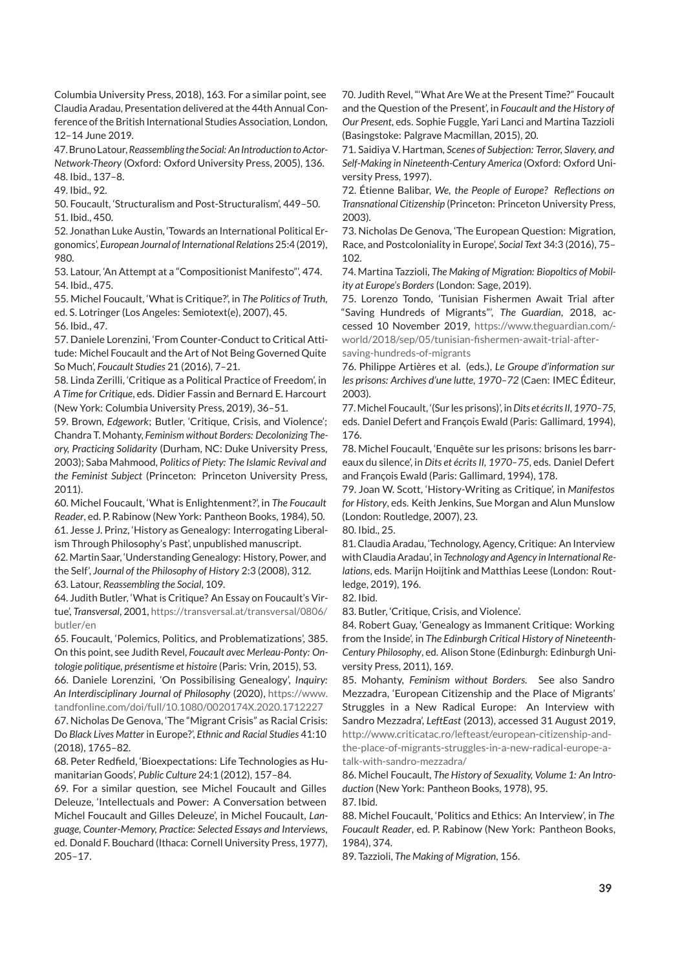Columbia University Press, 2018), 163. For a similar point, see Claudia Aradau, Presentation delivered at the 44th Annual Conference of the British International Studies Association, London, 12–14 June 2019.

47. Bruno Latour,*Reassembling the Social: AnIntroduction to Actor-Network-Theory* (Oxford: Oxford University Press, 2005), 136. 48. Ibid., 137–8.

49. Ibid., 92.

50. Foucault, 'Structuralism and Post-Structuralism', 449–50. 51. Ibid., 450.

52. Jonathan Luke Austin, 'Towards an International Political Ergonomics', *European Journal of International Relations* 25:4 (2019), 980.

53. Latour, 'An Attempt at a "Compositionist Manifesto"', 474. 54. Ibid., 475.

55. Michel Foucault, 'What is Critique?', in *The Politics of Truth*, ed. S. Lotringer (Los Angeles: Semiotext(e), 2007), 45. 56. Ibid., 47.

57. Daniele Lorenzini, 'From Counter-Conduct to Critical Attitude: Michel Foucault and the Art of Not Being Governed Quite So Much', *Foucault Studies* 21 (2016), 7–21.

58. Linda Zerilli, 'Critique as a Political Practice of Freedom', in *A Time for Critique*, eds. Didier Fassin and Bernard E. Harcourt (New York: Columbia University Press, 2019), 36–51.

59. Brown, *Edgework*; Butler, 'Critique, Crisis, and Violence'; Chandra T. Mohanty, *Feminism without Borders: Decolonizing Theory, Practicing Solidarity* (Durham, NC: Duke University Press, 2003); Saba Mahmood, *Politics of Piety: The Islamic Revival and the Feminist Subject* (Princeton: Princeton University Press, 2011).

60. Michel Foucault, 'What is Enlightenment?', in *The Foucault Reader*, ed. P. Rabinow (New York: Pantheon Books, 1984), 50. 61. Jesse J. Prinz, 'History as Genealogy: Interrogating Liberalism Through Philosophy's Past', unpublished manuscript.

62. Martin Saar, 'Understanding Genealogy: History, Power, and the Self', *Journal of the Philosophy of History* 2:3 (2008), 312. 63. Latour, *Reassembling the Social*, 109.

64. Judith Butler, 'What is Critique? An Essay on Foucault's Virtue', *Transversal*, 2001, [https://transversal.at/transversal/0806/](https://transversal.at/transversal/0806/butler/en) [butler/en](https://transversal.at/transversal/0806/butler/en)

65. Foucault, 'Polemics, Politics, and Problematizations', 385. On this point, see Judith Revel, *Foucault avec Merleau-Ponty: Ontologie politique, présentisme et histoire* (Paris: Vrin, 2015), 53.

66. Daniele Lorenzini, 'On Possibilising Genealogy', *Inquiry: An Interdisciplinary Journal of Philosophy* (2020), [https://www.](https://www.tandfonline.com/doi/full/10.1080/0020174X.2020.1712227) [tandfonline.com/doi/full/10.1080/0020174X.2020.1712227](https://www.tandfonline.com/doi/full/10.1080/0020174X.2020.1712227)

67. Nicholas De Genova, 'The "Migrant Crisis" as Racial Crisis: Do *Black Lives Matter* in Europe?', *Ethnic and Racial Studies* 41:10 (2018), 1765–82.

68. Peter Redfield, 'Bioexpectations: Life Technologies as Humanitarian Goods', *Public Culture* 24:1 (2012), 157–84.

69. For a similar question, see Michel Foucault and Gilles Deleuze, 'Intellectuals and Power: A Conversation between Michel Foucault and Gilles Deleuze', in Michel Foucault, *Language, Counter-Memory, Practice: Selected Essays and Interviews*, ed. Donald F. Bouchard (Ithaca: Cornell University Press, 1977), 205–17.

70. Judith Revel, "'What Are We at the Present Time?" Foucault and the Question of the Present', in *Foucault and the History of Our Present*, eds. Sophie Fuggle, Yari Lanci and Martina Tazzioli (Basingstoke: Palgrave Macmillan, 2015), 20.

71. Saidiya V. Hartman, *Scenes of Subjection: Terror, Slavery, and Self-Making in Nineteenth-Century America* (Oxford: Oxford University Press, 1997).

72. Étienne Balibar, *We, the People of Europe? Reflections on Transnational Citizenship* (Princeton: Princeton University Press, 2003).

73. Nicholas De Genova, 'The European Question: Migration, Race, and Postcoloniality in Europe', *Social Text* 34:3 (2016), 75– 102.

74. Martina Tazzioli, *The Making of Migration: Biopoltics of Mobility at Europe's Borders* (London: Sage, 2019).

75. Lorenzo Tondo, 'Tunisian Fishermen Await Trial after "Saving Hundreds of Migrants"', *The Guardian*, 2018, accessed 10 November 2019, [https://www.theguardian.com/](https://www.theguardian.com/world/2018/sep/05/tunisian-fishermen-await-trial-after-saving-hundreds-of-migrants) [world/2018/sep/05/tunisian-fishermen-await-trial-after](https://www.theguardian.com/world/2018/sep/05/tunisian-fishermen-await-trial-after-saving-hundreds-of-migrants)[saving-hundreds-of-migrants](https://www.theguardian.com/world/2018/sep/05/tunisian-fishermen-await-trial-after-saving-hundreds-of-migrants)

76. Philippe Artières et al. (eds.), *Le Groupe d'information sur les prisons: Archives d'une lutte, 1970–72* (Caen: IMEC Éditeur, 2003).

77.Michel Foucault, '(Sur les prisons)', in*Dits et écrits II, 1970–75*, eds. Daniel Defert and François Ewald (Paris: Gallimard, 1994), 176.

78. Michel Foucault, 'Enquête sur les prisons: brisons les barreaux du silence', in *Dits et écrits II, 1970–75*, eds. Daniel Defert and François Ewald (Paris: Gallimard, 1994), 178.

79. Joan W. Scott, 'History-Writing as Critique', in *Manifestos for History*, eds. Keith Jenkins, Sue Morgan and Alun Munslow (London: Routledge, 2007), 23.

80. Ibid., 25.

81. Claudia Aradau, 'Technology, Agency, Critique: An Interview with Claudia Aradau', in *Technology and Agency in International Relations*, eds. Marijn Hoijtink and Matthias Leese (London: Routledge, 2019), 196.

82. Ibid.

83. Butler, 'Critique, Crisis, and Violence'.

84. Robert Guay, 'Genealogy as Immanent Critique: Working from the Inside', in *The Edinburgh Critical History of Nineteenth-Century Philosophy*, ed. Alison Stone (Edinburgh: Edinburgh University Press, 2011), 169.

85. Mohanty, *Feminism without Borders*. See also Sandro Mezzadra, 'European Citizenship and the Place of Migrants' Struggles in a New Radical Europe: An Interview with Sandro Mezzadra', *LeftEast* (2013), accessed 31 August 2019, [http://www.criticatac.ro/lefteast/european-citizenship-and](http://www.criticatac.ro/lefteast/european-citizenship-and-the-place-of-migrants-struggles-in-a-new-radical-europe-a-talk-with-sandro-mezzadra/)[the-place-of-migrants-struggles-in-a-new-radical-europe-a](http://www.criticatac.ro/lefteast/european-citizenship-and-the-place-of-migrants-struggles-in-a-new-radical-europe-a-talk-with-sandro-mezzadra/)[talk-with-sandro-mezzadra/](http://www.criticatac.ro/lefteast/european-citizenship-and-the-place-of-migrants-struggles-in-a-new-radical-europe-a-talk-with-sandro-mezzadra/)

86. Michel Foucault, *The History of Sexuality, Volume 1: An Introduction* (New York: Pantheon Books, 1978), 95. 87. Ibid.

88. Michel Foucault, 'Politics and Ethics: An Interview', in *The Foucault Reader*, ed. P. Rabinow (New York: Pantheon Books, 1984), 374.

89. Tazzioli, *The Making of Migration*, 156.